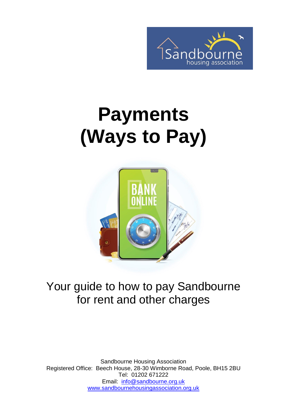

# **Payments (Ways to Pay)**



#### Your guide to how to pay Sandbourne for rent and other charges

Sandbourne Housing Association Registered Office: Beech House, 28-30 Wimborne Road, Poole, BH15 2BU Tel: 01202 671222 Email: [info@sandbourne.org.uk](mailto:info@sandbourne.org.uk) [www.sandbournehousingassociation.org.uk](http://www.sandbournehousingassociation.org.uk/)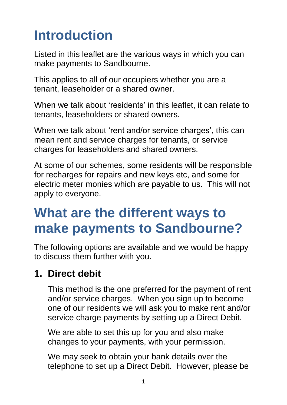# **Introduction**

Listed in this leaflet are the various ways in which you can make payments to Sandbourne.

This applies to all of our occupiers whether you are a tenant, leaseholder or a shared owner.

When we talk about 'residents' in this leaflet, it can relate to tenants, leaseholders or shared owners.

When we talk about 'rent and/or service charges', this can mean rent and service charges for tenants, or service charges for leaseholders and shared owners.

At some of our schemes, some residents will be responsible for recharges for repairs and new keys etc, and some for electric meter monies which are payable to us. This will not apply to everyone.

## **What are the different ways to make payments to Sandbourne?**

The following options are available and we would be happy to discuss them further with you.

#### **1. Direct debit**

This method is the one preferred for the payment of rent and/or service charges. When you sign up to become one of our residents we will ask you to make rent and/or service charge payments by setting up a Direct Debit.

We are able to set this up for you and also make changes to your payments, with your permission.

We may seek to obtain your bank details over the telephone to set up a Direct Debit. However, please be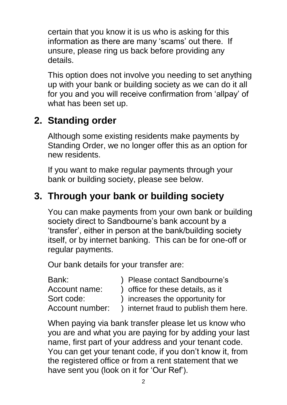certain that you know it is us who is asking for this information as there are many 'scams' out there. If unsure, please ring us back before providing any details.

This option does not involve you needing to set anything up with your bank or building society as we can do it all for you and you will receive confirmation from 'allpay' of what has been set up.

#### **2. Standing order**

Although some existing residents make payments by Standing Order, we no longer offer this as an option for new residents.

If you want to make regular payments through your bank or building society, please see below.

#### **3. Through your bank or building society**

You can make payments from your own bank or building society direct to Sandbourne's bank account by a 'transfer', either in person at the bank/building society itself, or by internet banking. This can be for one-off or regular payments.

Our bank details for your transfer are:

| Bank:           | ) Please contact Sandbourne's          |
|-----------------|----------------------------------------|
| Account name:   | ) office for these details, as it      |
| Sort code:      | ) increases the opportunity for        |
| Account number: | ) internet fraud to publish them here. |
|                 |                                        |

When paying via bank transfer please let us know who you are and what you are paying for by adding your last name, first part of your address and your tenant code. You can get your tenant code, if you don't know it, from the registered office or from a rent statement that we have sent you (look on it for 'Our Ref').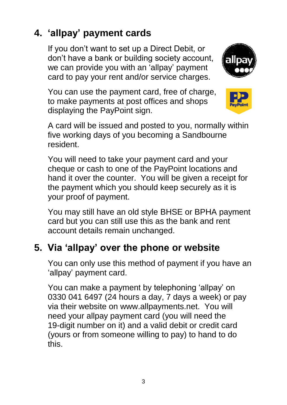#### **4. 'allpay' payment cards**

If you don't want to set up a Direct Debit, or don't have a bank or building society account, we can provide you with an 'allpay' payment card to pay your rent and/or service charges.



You can use the payment card, free of charge, to make payments at post offices and shops displaying the PayPoint sign.



A card will be issued and posted to you, normally within five working days of you becoming a Sandbourne resident.

You will need to take your payment card and your cheque or cash to one of the PayPoint locations and hand it over the counter. You will be given a receipt for the payment which you should keep securely as it is your proof of payment.

You may still have an old style BHSE or BPHA payment card but you can still use this as the bank and rent account details remain unchanged.

#### **5. Via 'allpay' over the phone or website**

You can only use this method of payment if you have an 'allpay' payment card.

You can make a payment by telephoning 'allpay' on 0330 041 6497 (24 hours a day, 7 days a week) or pay via their website on www.allpayments.net. You will need your allpay payment card (you will need the 19-digit number on it) and a valid debit or credit card (yours or from someone willing to pay) to hand to do this.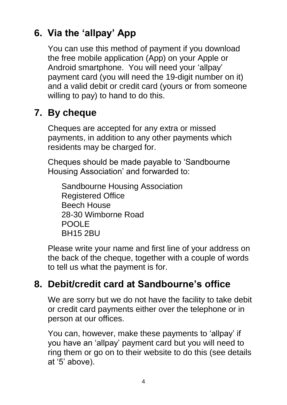#### **6. Via the 'allpay' App**

You can use this method of payment if you download the free mobile application (App) on your Apple or Android smartphone. You will need your 'allpay' payment card (you will need the 19-digit number on it) and a valid debit or credit card (yours or from someone willing to pay) to hand to do this.

#### **7. By cheque**

Cheques are accepted for any extra or missed payments, in addition to any other payments which residents may be charged for.

Cheques should be made payable to 'Sandbourne Housing Association' and forwarded to:

Sandbourne Housing Association Registered Office Beech House 28-30 Wimborne Road POOLE BH15 2BU

Please write your name and first line of your address on the back of the cheque, together with a couple of words to tell us what the payment is for.

#### **8. Debit/credit card at Sandbourne's office**

We are sorry but we do not have the facility to take debit or credit card payments either over the telephone or in person at our offices.

You can, however, make these payments to 'allpay' if you have an 'allpay' payment card but you will need to ring them or go on to their website to do this (see details at '5' above).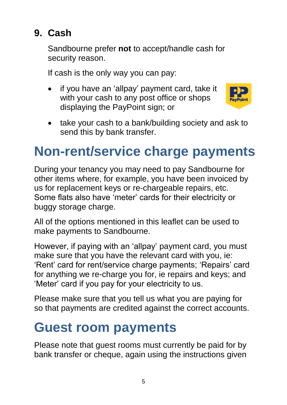#### **9. Cash**

Sandbourne prefer **not** to accept/handle cash for security reason.

If cash is the only way you can pay:

 if you have an 'allpay' payment card, take it with your cash to any post office or shops displaying the PayPoint sign; or



• take your cash to a bank/building society and ask to send this by bank transfer.

# **Non-rent/service charge payments**

During your tenancy you may need to pay Sandbourne for other items where, for example, you have been invoiced by us for replacement keys or re-chargeable repairs, etc. Some flats also have 'meter' cards for their electricity or buggy storage charge.

All of the options mentioned in this leaflet can be used to make payments to Sandbourne.

However, if paying with an 'allpay' payment card, you must make sure that you have the relevant card with you, ie: 'Rent' card for rent/service charge payments; 'Repairs' card for anything we re-charge you for, ie repairs and keys; and 'Meter' card if you pay for your electricity to us.

Please make sure that you tell us what you are paying for so that payments are credited against the correct accounts.

# **Guest room payments**

Please note that guest rooms must currently be paid for by bank transfer or cheque, again using the instructions given